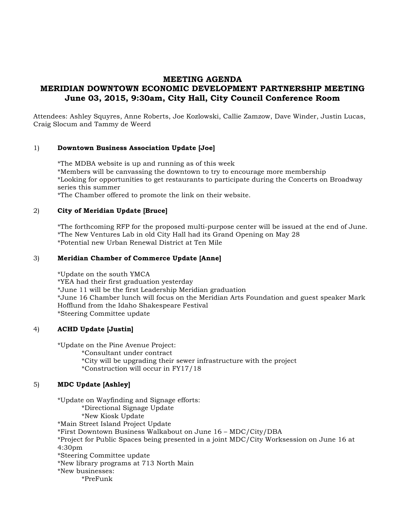# **MEETING AGENDA MERIDIAN DOWNTOWN ECONOMIC DEVELOPMENT PARTNERSHIP MEETING June 03, 2015, 9:30am, City Hall, City Council Conference Room**

Attendees: Ashley Squyres, Anne Roberts, Joe Kozlowski, Callie Zamzow, Dave Winder, Justin Lucas, Craig Slocum and Tammy de Weerd

## 1) **Downtown Business Association Update [Joe]**

\*The MDBA website is up and running as of this week \*Members will be canvassing the downtown to try to encourage more membership \*Looking for opportunities to get restaurants to participate during the Concerts on Broadway series this summer

\*The Chamber offered to promote the link on their website.

## 2) **City of Meridian Update [Bruce]**

\*The forthcoming RFP for the proposed multi-purpose center will be issued at the end of June. \*The New Ventures Lab in old City Hall had its Grand Opening on May 28 \*Potential new Urban Renewal District at Ten Mile

#### 3) **Meridian Chamber of Commerce Update [Anne]**

\*Update on the south YMCA \*YEA had their first graduation yesterday \*June 11 will be the first Leadership Meridian graduation \*June 16 Chamber lunch will focus on the Meridian Arts Foundation and guest speaker Mark Hofflund from the Idaho Shakespeare Festival \*Steering Committee update

## 4) **ACHD Update [Justin]**

\*Update on the Pine Avenue Project:

\*Consultant under contract \*City will be upgrading their sewer infrastructure with the project \*Construction will occur in FY17/18

## 5) **MDC Update [Ashley]**

\*Update on Wayfinding and Signage efforts: \*Directional Signage Update \*New Kiosk Update \*Main Street Island Project Update \*First Downtown Business Walkabout on June 16 – MDC/City/DBA \*Project for Public Spaces being presented in a joint MDC/City Worksession on June 16 at 4:30pm \*Steering Committee update \*New library programs at 713 North Main \*New businesses: \*PreFunk